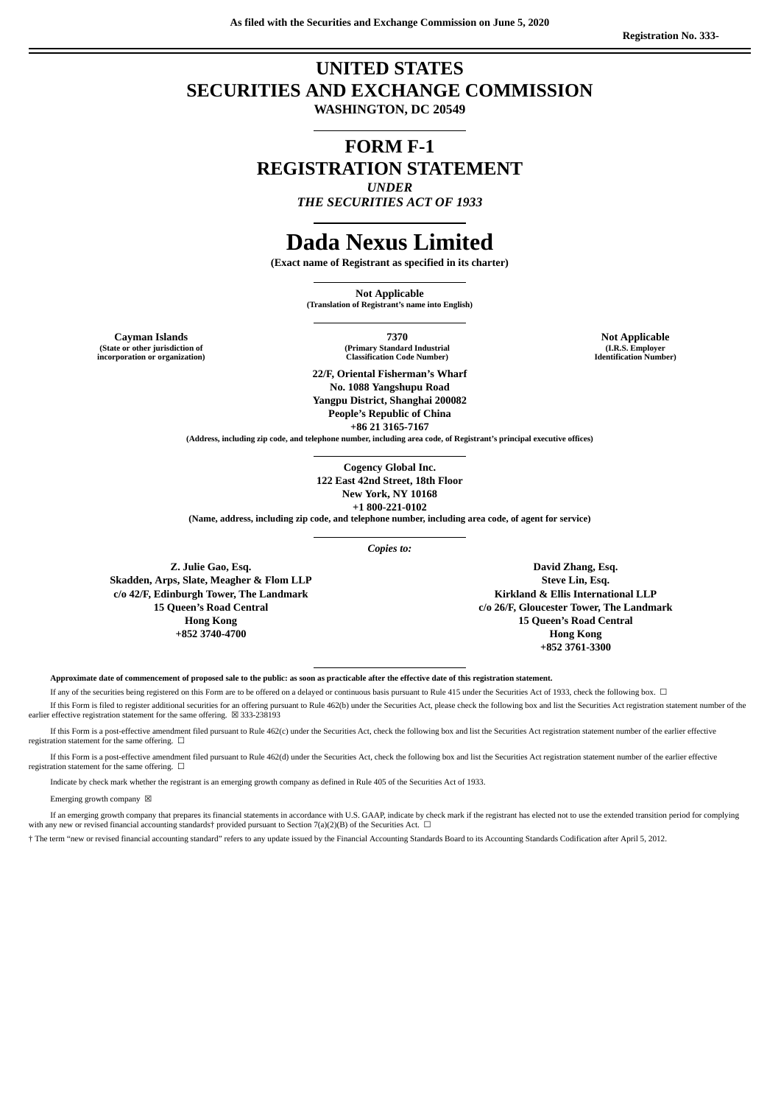**As filed with the Securities and Exchange Commission on June 5, 2020**

# **UNITED STATES SECURITIES AND EXCHANGE COMMISSION**

**WASHINGTON, DC 20549**

# **FORM F-1 REGISTRATION STATEMENT** *UNDER*

*THE SECURITIES ACT OF 1933*

# **Dada Nexus Limited**

**(Exact name of Registrant as specified in its charter)**

**Not Applicable (Translation of Registrant's name into English)**

**(State or other jurisdiction of incorporation or organization)**

**Cayman Islands 7370 Not Applicable (Primary Standard Industrial Classification Code Number)**

> **22/F, Oriental Fisherman's Wharf No. 1088 Yangshupu Road Yangpu District, Shanghai 200082 People's Republic of China +86 21 3165-7167**

**(Address, including zip code, and telephone number, including area code, of Registrant's principal executive offices)**

**Cogency Global Inc. 122 East 42nd Street, 18th Floor New York, NY 10168 +1 800-221-0102**

**(Name, address, including zip code, and telephone number, including area code, of agent for service)**

*Copies to:*

**Z. Julie Gao, Esq. Skadden, Arps, Slate, Meagher & Flom LLP c/o 42/F, Edinburgh Tower, The Landmark 15 Queen's Road Central Hong Kong +852 3740-4700**

**David Zhang, Esq. Steve Lin, Esq. Kirkland & Ellis International LLP c/o 26/F, Gloucester Tower, The Landmark 15 Queen's Road Central Hong Kong +852 3761-3300**

Approximate date of commencement of proposed sale to the public: as soon as practicable after the effective date of this registration statement.

If any of the securities being registered on this Form are to be offered on a delayed or continuous basis pursuant to Rule 415 under the Securities Act of 1933, check the following box. ☐

If this Form is filed to register additional securities for an offering pursuant to Rule 462(b) under the Securities Act, please check the following box and list the Securities Act registration statement number of the earlier effective registration statement for the same offering.  $~\boxtimes$  333-238193

If this Form is a post-effective amendment filed pursuant to Rule 462(c) under the Securities Act, check the following box and list the Securities Act registration statement number of the earlier effective registration statement for the same offering.  $\Box$ 

If this Form is a post-effective amendment filed pursuant to Rule 462(d) under the Securities Act, check the following box and list the Securities Act registration statement number of the earlier effective registration statement for the same offering.  $□$ 

Indicate by check mark whether the registrant is an emerging growth company as defined in Rule 405 of the Securities Act of 1933.

Emerging growth company  $\boxtimes$ 

If an emerging growth company that prepares its financial statements in accordance with U.S. GAAP, indicate by check mark if the registrant has elected not to use the extended transition period for complying with any new or revised financial accounting standards† provided pursuant to Section 7(a)(2)(B) of the Securities Act.  $\Box$ 

† The term "new or revised financial accounting standard" refers to any update issued by the Financial Accounting Standards Board to its Accounting Standards Codification after April 5, 2012.

**(I.R.S. Employer Identification Number)**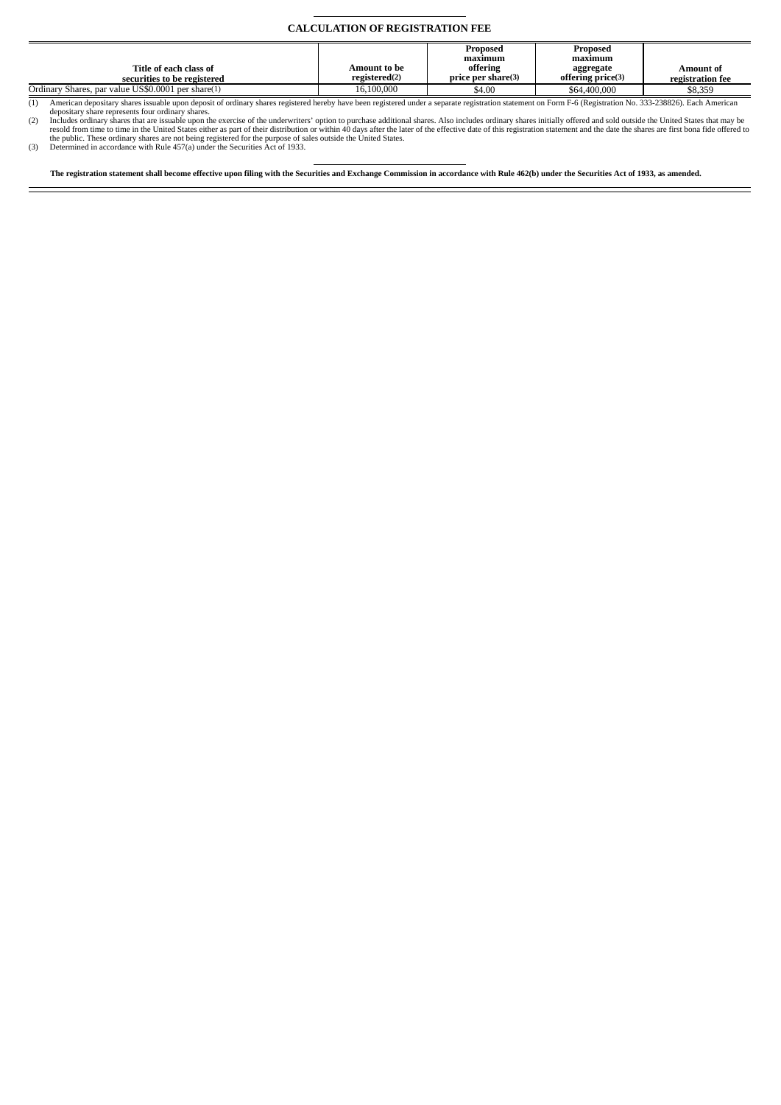### **CALCULATION OF REGISTRATION FEE**

|                                                    |               | Proposed           | Proposed          |                  |
|----------------------------------------------------|---------------|--------------------|-------------------|------------------|
|                                                    |               | maximum            | maximum           |                  |
| Title of each class of                             | Amount to be  | offering           | aggregate         | Amount of        |
| securities to be registered                        | registered(2) | price per share(3) | offering price(3) | registration fee |
| Ordinary Shares, par value US\$0,0001 per share(1) | 16,100,000    | \$4.00             | \$64,400,000      | \$8.359          |

American depositary shares issuable upon deposit of ordinary shares registered hereby have been registered under a separate registration statement on Form F-6 (Registration No. 333-238826). Each American<br>depositary share r

The registration statement shall become effective upon filing with the Securities and Exchange Commission in accordance with Rule 462(b) under the Securities Act of 1933, as amended.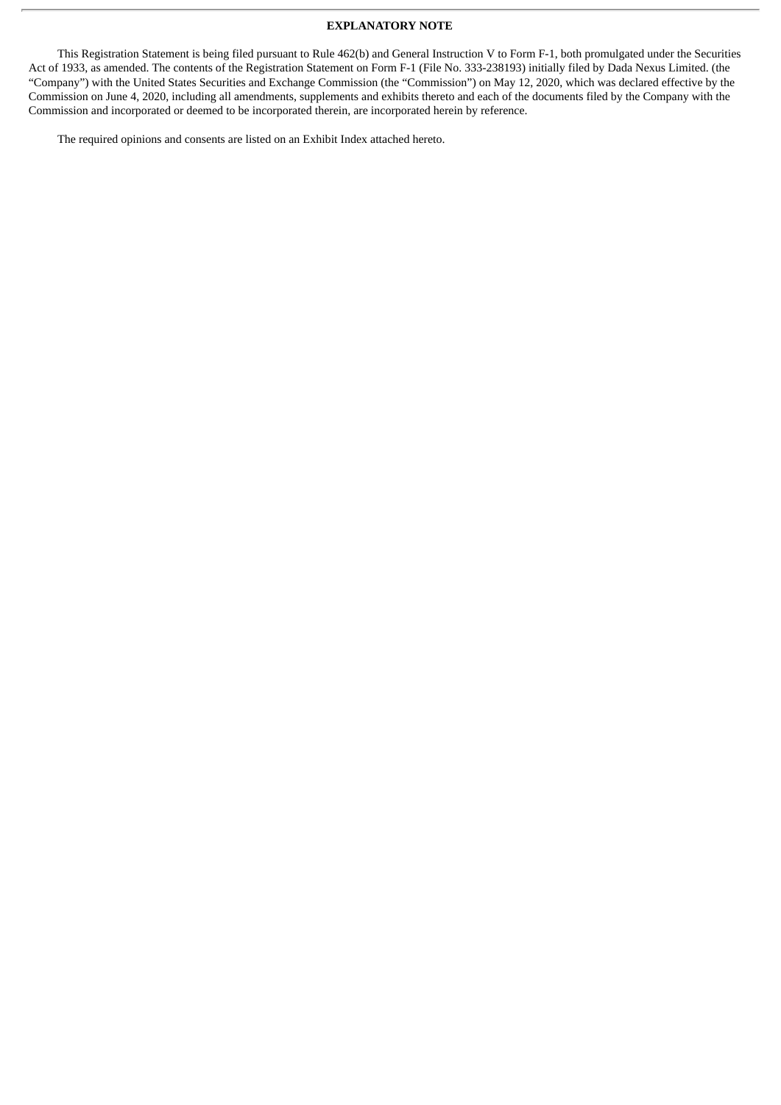# **EXPLANATORY NOTE**

This Registration Statement is being filed pursuant to Rule 462(b) and General Instruction V to Form F-1, both promulgated under the Securities Act of 1933, as amended. The contents of the Registration Statement on Form F-1 (File No. 333-238193) initially filed by Dada Nexus Limited. (the "Company") with the United States Securities and Exchange Commission (the "Commission") on May 12, 2020, which was declared effective by the Commission on June 4, 2020, including all amendments, supplements and exhibits thereto and each of the documents filed by the Company with the Commission and incorporated or deemed to be incorporated therein, are incorporated herein by reference.

The required opinions and consents are listed on an Exhibit Index attached hereto.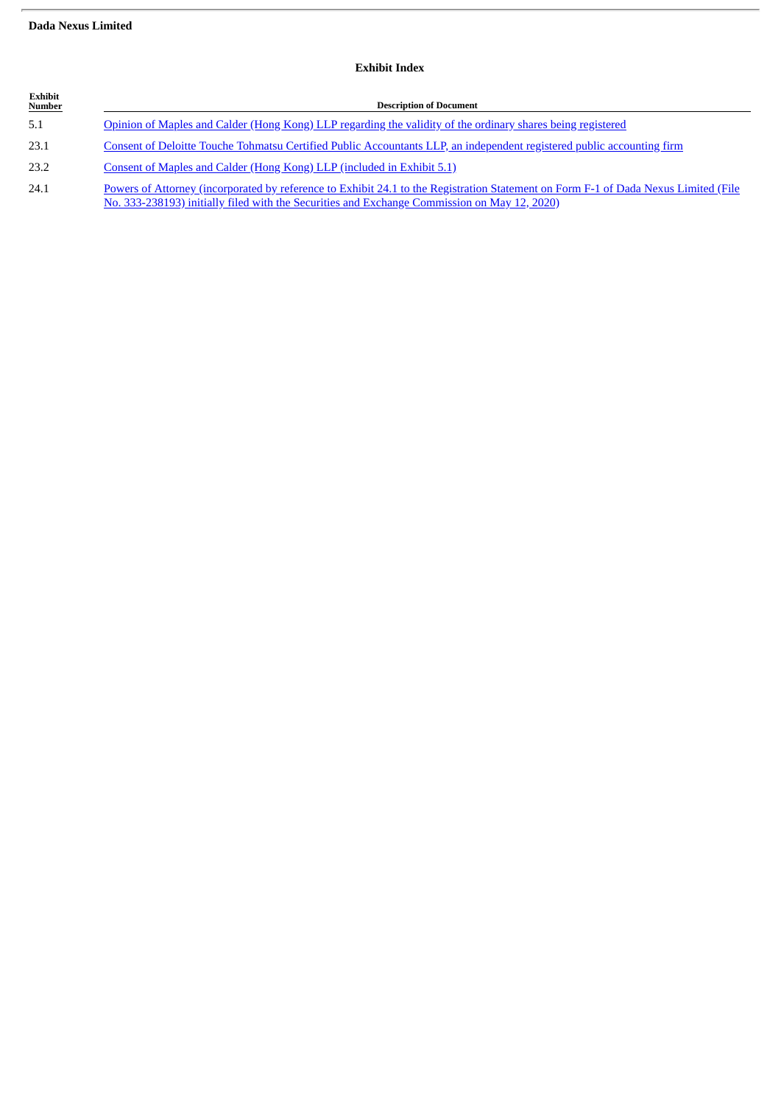# **Dada Nexus Limited**

| Exhibit<br>Number | <b>Description of Document</b>                                                                                                                                                                                                      |  |  |
|-------------------|-------------------------------------------------------------------------------------------------------------------------------------------------------------------------------------------------------------------------------------|--|--|
| 5.1               | Opinion of Maples and Calder (Hong Kong) LLP regarding the validity of the ordinary shares being registered                                                                                                                         |  |  |
| 23.1              | Consent of Deloitte Touche Tohmatsu Certified Public Accountants LLP, an independent registered public accounting firm                                                                                                              |  |  |
| 23.2              | Consent of Maples and Calder (Hong Kong) LLP (included in Exhibit 5.1)                                                                                                                                                              |  |  |
| 24.1              | Powers of Attorney (incorporated by reference to Exhibit 24.1 to the Registration Statement on Form F-1 of Dada Nexus Limited (File<br>No. 333-238193) initially filed with the Securities and Exchange Commission on May 12, 2020) |  |  |

# **Exhibit Index**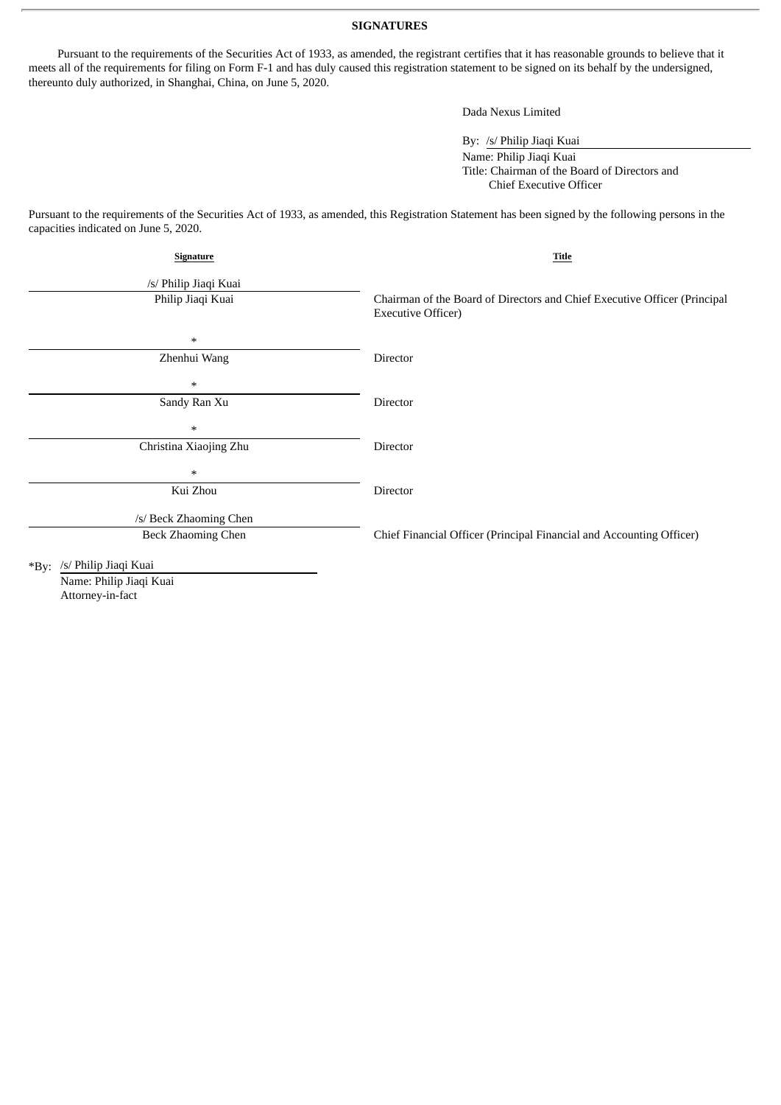### **SIGNATURES**

Pursuant to the requirements of the Securities Act of 1933, as amended, the registrant certifies that it has reasonable grounds to believe that it meets all of the requirements for filing on Form F-1 and has duly caused this registration statement to be signed on its behalf by the undersigned, thereunto duly authorized, in Shanghai, China, on June 5, 2020.

Dada Nexus Limited

By: /s/ Philip Jiaqi Kuai

Name: Philip Jiaqi Kuai Title: Chairman of the Board of Directors and Chief Executive Officer

Pursuant to the requirements of the Securities Act of 1933, as amended, this Registration Statement has been signed by the following persons in the capacities indicated on June 5, 2020.

| Signature                        | Title                                                                                                  |  |
|----------------------------------|--------------------------------------------------------------------------------------------------------|--|
| /s/ Philip Jiaqi Kuai            |                                                                                                        |  |
| Philip Jiaqi Kuai                | Chairman of the Board of Directors and Chief Executive Officer (Principal<br><b>Executive Officer)</b> |  |
| $\ast$                           |                                                                                                        |  |
| Zhenhui Wang                     | Director                                                                                               |  |
| $\ast$                           |                                                                                                        |  |
| Sandy Ran Xu                     | Director                                                                                               |  |
| $\ast$                           |                                                                                                        |  |
| Christina Xiaojing Zhu           | Director                                                                                               |  |
| $\ast$                           |                                                                                                        |  |
| Kui Zhou                         | Director                                                                                               |  |
| /s/ Beck Zhaoming Chen           |                                                                                                        |  |
| Beck Zhaoming Chen               | Chief Financial Officer (Principal Financial and Accounting Officer)                                   |  |
| /s/ Philip Jiaqi Kuai<br>$*$ By: |                                                                                                        |  |
|                                  |                                                                                                        |  |

Name: Philip Jiaqi Kuai Attorney-in-fact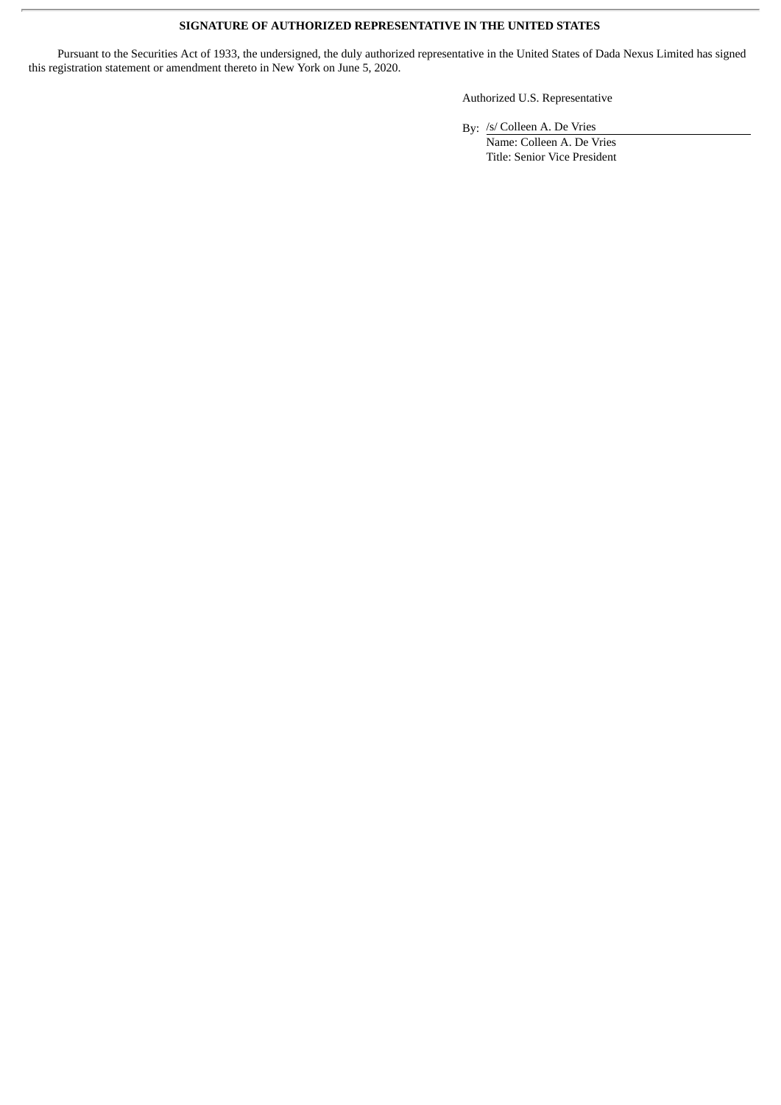# **SIGNATURE OF AUTHORIZED REPRESENTATIVE IN THE UNITED STATES**

Pursuant to the Securities Act of 1933, the undersigned, the duly authorized representative in the United States of Dada Nexus Limited has signed this registration statement or amendment thereto in New York on June 5, 2020.

Authorized U.S. Representative

By: /s/ Colleen A. De Vries

Name: Colleen A. De Vries Title: Senior Vice President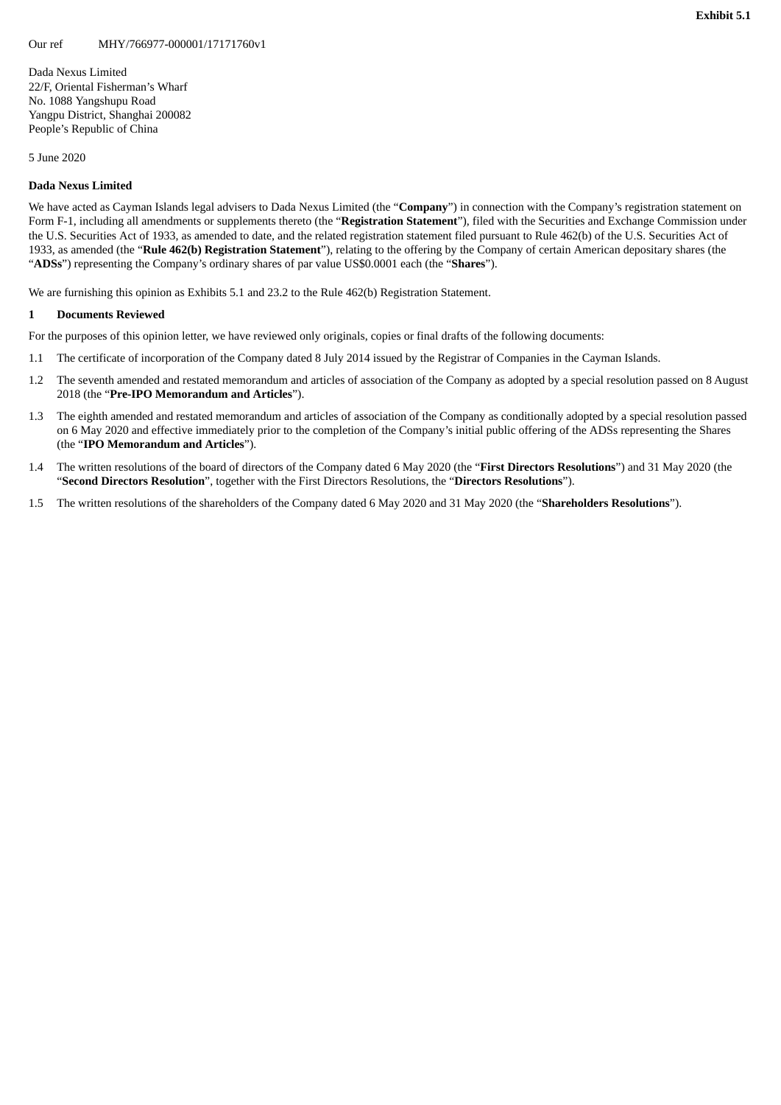<span id="page-6-0"></span>Dada Nexus Limited 22/F, Oriental Fisherman's Wharf No. 1088 Yangshupu Road Yangpu District, Shanghai 200082 People's Republic of China

5 June 2020

### **Dada Nexus Limited**

We have acted as Cayman Islands legal advisers to Dada Nexus Limited (the "**Company**") in connection with the Company's registration statement on Form F-1, including all amendments or supplements thereto (the "**Registration Statement**"), filed with the Securities and Exchange Commission under the U.S. Securities Act of 1933, as amended to date, and the related registration statement filed pursuant to Rule 462(b) of the U.S. Securities Act of 1933, as amended (the "**Rule 462(b) Registration Statement**"), relating to the offering by the Company of certain American depositary shares (the "**ADSs**") representing the Company's ordinary shares of par value US\$0.0001 each (the "**Shares**").

We are furnishing this opinion as Exhibits 5.1 and 23.2 to the Rule 462(b) Registration Statement.

#### **1 Documents Reviewed**

For the purposes of this opinion letter, we have reviewed only originals, copies or final drafts of the following documents:

- 1.1 The certificate of incorporation of the Company dated 8 July 2014 issued by the Registrar of Companies in the Cayman Islands.
- 1.2 The seventh amended and restated memorandum and articles of association of the Company as adopted by a special resolution passed on 8 August 2018 (the "**Pre-IPO Memorandum and Articles**").
- 1.3 The eighth amended and restated memorandum and articles of association of the Company as conditionally adopted by a special resolution passed on 6 May 2020 and effective immediately prior to the completion of the Company's initial public offering of the ADSs representing the Shares (the "**IPO Memorandum and Articles**").
- 1.4 The written resolutions of the board of directors of the Company dated 6 May 2020 (the "**First Directors Resolutions**") and 31 May 2020 (the "**Second Directors Resolution**", together with the First Directors Resolutions, the "**Directors Resolutions**").
- 1.5 The written resolutions of the shareholders of the Company dated 6 May 2020 and 31 May 2020 (the "**Shareholders Resolutions**").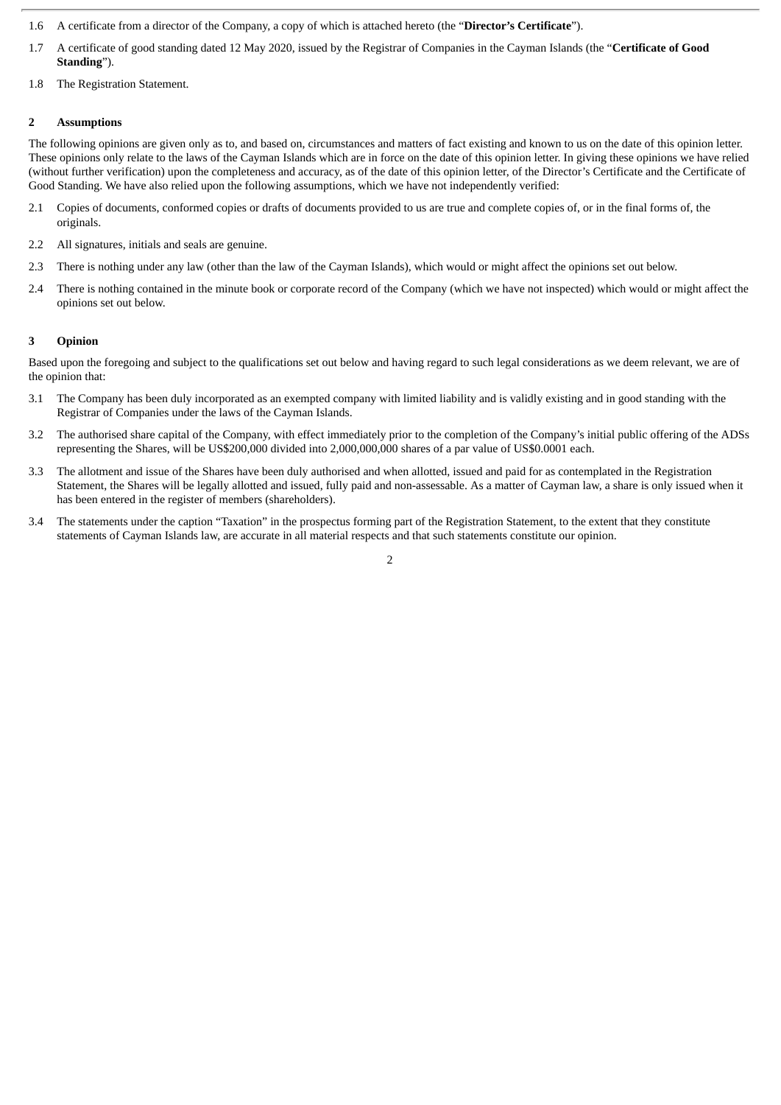- 1.6 A certificate from a director of the Company, a copy of which is attached hereto (the "**Director's Certificate**").
- 1.7 A certificate of good standing dated 12 May 2020, issued by the Registrar of Companies in the Cayman Islands (the "**Certificate of Good Standing**").
- 1.8 The Registration Statement.

# **2 Assumptions**

The following opinions are given only as to, and based on, circumstances and matters of fact existing and known to us on the date of this opinion letter. These opinions only relate to the laws of the Cayman Islands which are in force on the date of this opinion letter. In giving these opinions we have relied (without further verification) upon the completeness and accuracy, as of the date of this opinion letter, of the Director's Certificate and the Certificate of Good Standing. We have also relied upon the following assumptions, which we have not independently verified:

- 2.1 Copies of documents, conformed copies or drafts of documents provided to us are true and complete copies of, or in the final forms of, the originals.
- 2.2 All signatures, initials and seals are genuine.
- 2.3 There is nothing under any law (other than the law of the Cayman Islands), which would or might affect the opinions set out below.
- 2.4 There is nothing contained in the minute book or corporate record of the Company (which we have not inspected) which would or might affect the opinions set out below.

## **3 Opinion**

Based upon the foregoing and subject to the qualifications set out below and having regard to such legal considerations as we deem relevant, we are of the opinion that:

- 3.1 The Company has been duly incorporated as an exempted company with limited liability and is validly existing and in good standing with the Registrar of Companies under the laws of the Cayman Islands.
- 3.2 The authorised share capital of the Company, with effect immediately prior to the completion of the Company's initial public offering of the ADSs representing the Shares, will be US\$200,000 divided into 2,000,000,000 shares of a par value of US\$0.0001 each.
- 3.3 The allotment and issue of the Shares have been duly authorised and when allotted, issued and paid for as contemplated in the Registration Statement, the Shares will be legally allotted and issued, fully paid and non-assessable. As a matter of Cayman law, a share is only issued when it has been entered in the register of members (shareholders).
- 3.4 The statements under the caption "Taxation" in the prospectus forming part of the Registration Statement, to the extent that they constitute statements of Cayman Islands law, are accurate in all material respects and that such statements constitute our opinion.

2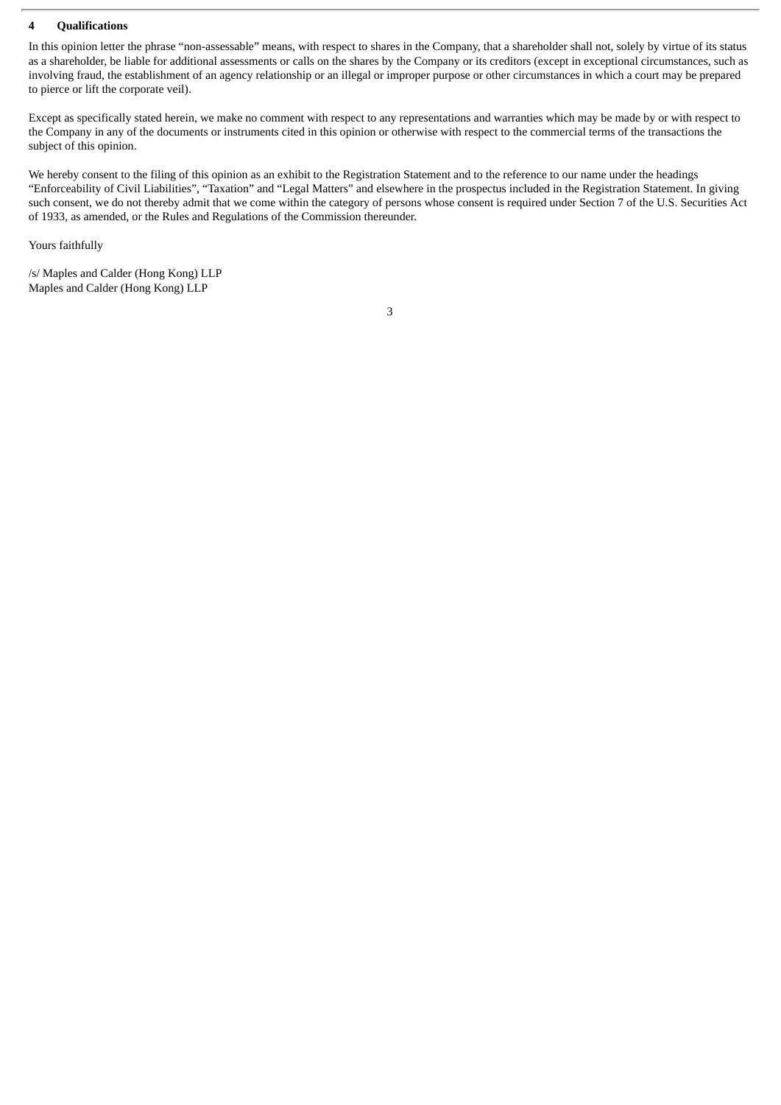# **4 Qualifications**

In this opinion letter the phrase "non-assessable" means, with respect to shares in the Company, that a shareholder shall not, solely by virtue of its status as a shareholder, be liable for additional assessments or calls on the shares by the Company or its creditors (except in exceptional circumstances, such as involving fraud, the establishment of an agency relationship or an illegal or improper purpose or other circumstances in which a court may be prepared to pierce or lift the corporate veil).

Except as specifically stated herein, we make no comment with respect to any representations and warranties which may be made by or with respect to the Company in any of the documents or instruments cited in this opinion or otherwise with respect to the commercial terms of the transactions the subject of this opinion.

We hereby consent to the filing of this opinion as an exhibit to the Registration Statement and to the reference to our name under the headings "Enforceability of Civil Liabilities", "Taxation" and "Legal Matters" and elsewhere in the prospectus included in the Registration Statement. In giving such consent, we do not thereby admit that we come within the category of persons whose consent is required under Section 7 of the U.S. Securities Act of 1933, as amended, or the Rules and Regulations of the Commission thereunder.

Yours faithfully

/s/ Maples and Calder (Hong Kong) LLP Maples and Calder (Hong Kong) LLP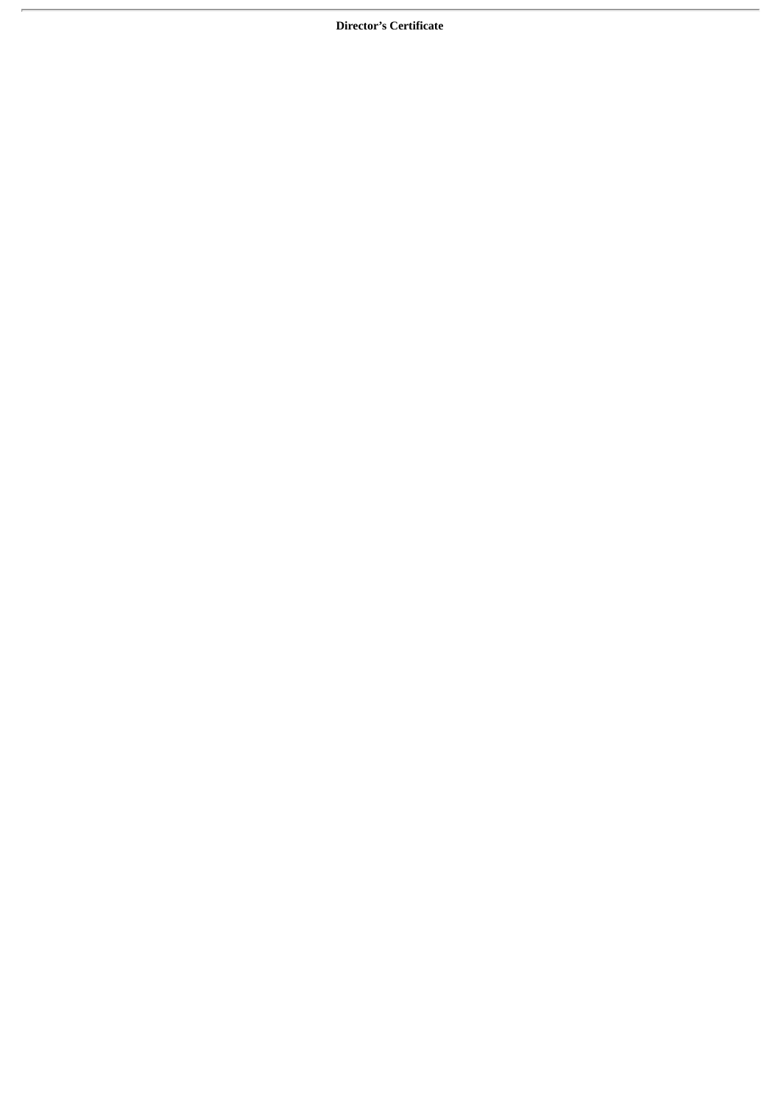**Director's Certificate**